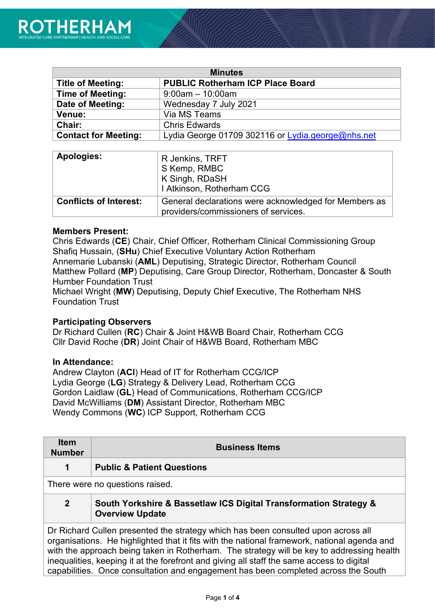| <b>Minutes</b>              |                                                   |  |
|-----------------------------|---------------------------------------------------|--|
| <b>Title of Meeting:</b>    | <b>PUBLIC Rotherham ICP Place Board</b>           |  |
| <b>Time of Meeting:</b>     | $9:00$ am $-10:00$ am                             |  |
| Date of Meeting:            | Wednesday 7 July 2021                             |  |
| Venue:                      | Via MS Teams                                      |  |
| <b>Chair:</b>               | <b>Chris Edwards</b>                              |  |
| <b>Contact for Meeting:</b> | Lydia George 01709 302116 or Lydia.george@nhs.net |  |

| <b>Apologies:</b>             | R Jenkins, TRFT<br>S Kemp, RMBC<br>K Singh, RDaSH<br>I Atkinson, Rotherham CCG                |
|-------------------------------|-----------------------------------------------------------------------------------------------|
| <b>Conflicts of Interest:</b> | General declarations were acknowledged for Members as<br>providers/commissioners of services. |

#### **Members Present:**

Chris Edwards (**CE**) Chair, Chief Officer, Rotherham Clinical Commissioning Group Shafiq Hussain, (**SHu**) Chief Executive Voluntary Action Rotherham Annemarie Lubanski (**AML**) Deputising, Strategic Director, Rotherham Council Matthew Pollard (**MP**) Deputising, Care Group Director, Rotherham, Doncaster & South Humber Foundation Trust

Michael Wright (**MW**) Deputising, Deputy Chief Executive, The Rotherham NHS Foundation Trust

### **Participating Observers**

Dr Richard Cullen (**RC**) Chair & Joint H&WB Board Chair, Rotherham CCG Cllr David Roche (**DR**) Joint Chair of H&WB Board, Rotherham MBC

#### **In Attendance:**

Andrew Clayton (**ACl**) Head of IT for Rotherham CCG/ICP Lydia George (**LG**) Strategy & Delivery Lead, Rotherham CCG Gordon Laidlaw (**GL**) Head of Communications, Rotherham CCG/ICP David McWilliams (**DM**) Assistant Director, Rotherham MBC Wendy Commons (**WC**) ICP Support, Rotherham CCG

| <b>Item</b><br><b>Number</b>                                                                                                                                                                                                                                                                                                                                               | <b>Business Items</b>                                                                       |
|----------------------------------------------------------------------------------------------------------------------------------------------------------------------------------------------------------------------------------------------------------------------------------------------------------------------------------------------------------------------------|---------------------------------------------------------------------------------------------|
| 1                                                                                                                                                                                                                                                                                                                                                                          | <b>Public &amp; Patient Questions</b>                                                       |
|                                                                                                                                                                                                                                                                                                                                                                            | There were no questions raised.                                                             |
| $\overline{2}$                                                                                                                                                                                                                                                                                                                                                             | South Yorkshire & Bassetlaw ICS Digital Transformation Strategy &<br><b>Overview Update</b> |
| Dr Richard Cullen presented the strategy which has been consulted upon across all<br>organisations. He highlighted that it fits with the national framework, national agenda and<br>with the approach being taken in Rotherham. The strategy will be key to addressing health<br>inequalities, keeping it at the forefront and giving all staff the same access to digital |                                                                                             |

capabilities. Once consultation and engagement has been completed across the South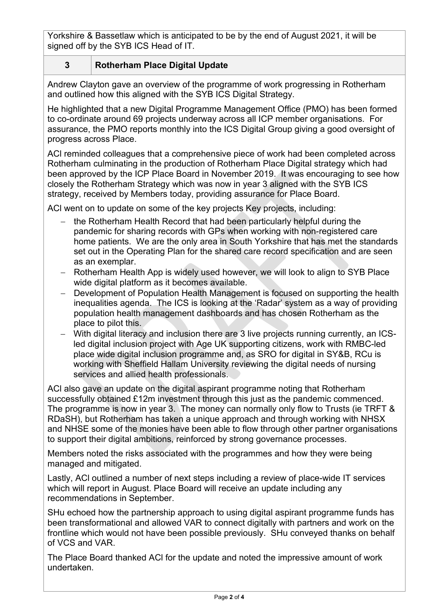Yorkshire & Bassetlaw which is anticipated to be by the end of August 2021, it will be signed off by the SYB ICS Head of IT.

# **3 Rotherham Place Digital Update**

Andrew Clayton gave an overview of the programme of work progressing in Rotherham and outlined how this aligned with the SYB ICS Digital Strategy.

He highlighted that a new Digital Programme Management Office (PMO) has been formed to co-ordinate around 69 projects underway across all ICP member organisations. For assurance, the PMO reports monthly into the ICS Digital Group giving a good oversight of progress across Place.

ACl reminded colleagues that a comprehensive piece of work had been completed across Rotherham culminating in the production of Rotherham Place Digital strategy which had been approved by the ICP Place Board in November 2019. It was encouraging to see how closely the Rotherham Strategy which was now in year 3 aligned with the SYB ICS strategy, received by Members today, providing assurance for Place Board.

ACI went on to update on some of the key projects Key projects, including:

- the Rotherham Health Record that had been particularly helpful during the pandemic for sharing records with GPs when working with non-registered care home patients. We are the only area in South Yorkshire that has met the standards set out in the Operating Plan for the shared care record specification and are seen as an exemplar.
- − Rotherham Health App is widely used however, we will look to align to SYB Place wide digital platform as it becomes available.
- − Development of Population Health Management is focused on supporting the health inequalities agenda. The ICS is looking at the 'Radar' system as a way of providing population health management dashboards and has chosen Rotherham as the place to pilot this.
- − With digital literacy and inclusion there are 3 live projects running currently, an ICSled digital inclusion project with Age UK supporting citizens, work with RMBC-led place wide digital inclusion programme and, as SRO for digital in SY&B, RCu is working with Sheffield Hallam University reviewing the digital needs of nursing services and allied health professionals.

ACl also gave an update on the digital aspirant programme noting that Rotherham successfully obtained £12m investment through this just as the pandemic commenced. The programme is now in year 3. The money can normally only flow to Trusts (ie TRFT & RDaSH), but Rotherham has taken a unique approach and through working with NHSX and NHSE some of the monies have been able to flow through other partner organisations to support their digital ambitions, reinforced by strong governance processes.

Members noted the risks associated with the programmes and how they were being managed and mitigated.

Lastly, ACl outlined a number of next steps including a review of place-wide IT services which will report in August. Place Board will receive an update including any recommendations in September.

SHu echoed how the partnership approach to using digital aspirant programme funds has been transformational and allowed VAR to connect digitally with partners and work on the frontline which would not have been possible previously. SHu conveyed thanks on behalf of VCS and VAR.

The Place Board thanked ACl for the update and noted the impressive amount of work undertaken.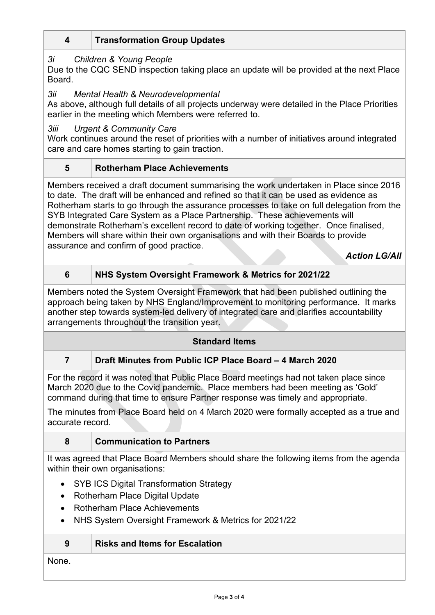# **4 Transformation Group Updates**

# *3i Children & Young People*

Due to the CQC SEND inspection taking place an update will be provided at the next Place **Board** 

## *3ii Mental Health & Neurodevelopmental*

As above, although full details of all projects underway were detailed in the Place Priorities earlier in the meeting which Members were referred to.

## *3iii Urgent & Community Care*

Work continues around the reset of priorities with a number of initiatives around integrated care and care homes starting to gain traction.

# **5 Rotherham Place Achievements**

Members received a draft document summarising the work undertaken in Place since 2016 to date. The draft will be enhanced and refined so that it can be used as evidence as Rotherham starts to go through the assurance processes to take on full delegation from the SYB Integrated Care System as a Place Partnership. These achievements will demonstrate Rotherham's excellent record to date of working together. Once finalised, Members will share within their own organisations and with their Boards to provide assurance and confirm of good practice.

*Action LG/All*

# **6 NHS System Oversight Framework & Metrics for 2021/22**

Members noted the System Oversight Framework that had been published outlining the approach being taken by NHS England/Improvement to monitoring performance. It marks another step towards system-led delivery of integrated care and clarifies accountability arrangements throughout the transition year.

### **Standard Items**

# **7 Draft Minutes from Public ICP Place Board – 4 March 2020**

For the record it was noted that Public Place Board meetings had not taken place since March 2020 due to the Covid pandemic. Place members had been meeting as 'Gold' command during that time to ensure Partner response was timely and appropriate.

The minutes from Place Board held on 4 March 2020 were formally accepted as a true and accurate record.

# **8 Communication to Partners**

It was agreed that Place Board Members should share the following items from the agenda within their own organisations:

- SYB ICS Digital Transformation Strategy
- Rotherham Place Digital Update
- Rotherham Place Achievements
- NHS System Oversight Framework & Metrics for 2021/22

| 9 | <b>Risks and Items for Escalation</b> |
|---|---------------------------------------|
|---|---------------------------------------|

# None.